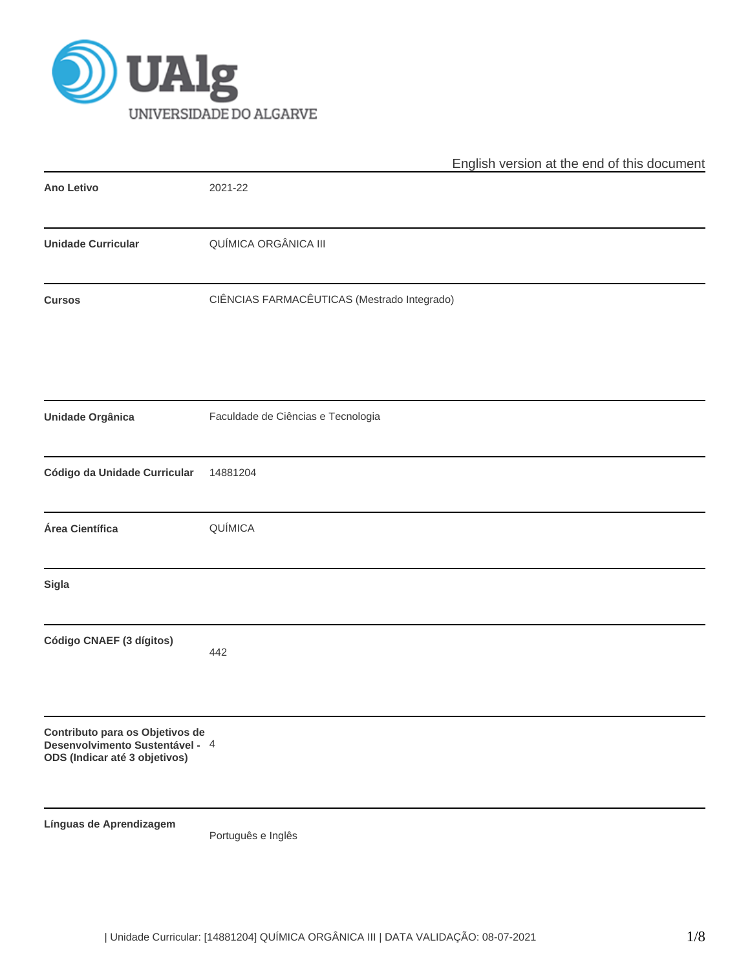

|                                                                                                     | English version at the end of this document |
|-----------------------------------------------------------------------------------------------------|---------------------------------------------|
| Ano Letivo                                                                                          | 2021-22                                     |
| <b>Unidade Curricular</b>                                                                           | QUÍMICA ORGÂNICA III                        |
| <b>Cursos</b>                                                                                       | CIÊNCIAS FARMACÊUTICAS (Mestrado Integrado) |
| Unidade Orgânica                                                                                    | Faculdade de Ciências e Tecnologia          |
| Código da Unidade Curricular                                                                        | 14881204                                    |
| Área Científica                                                                                     | QUÍMICA                                     |
| Sigla                                                                                               |                                             |
| Código CNAEF (3 dígitos)                                                                            | 442                                         |
| Contributo para os Objetivos de<br>Desenvolvimento Sustentável - 4<br>ODS (Indicar até 3 objetivos) |                                             |
| Línguas de Aprendizagem                                                                             | Português e Inglês                          |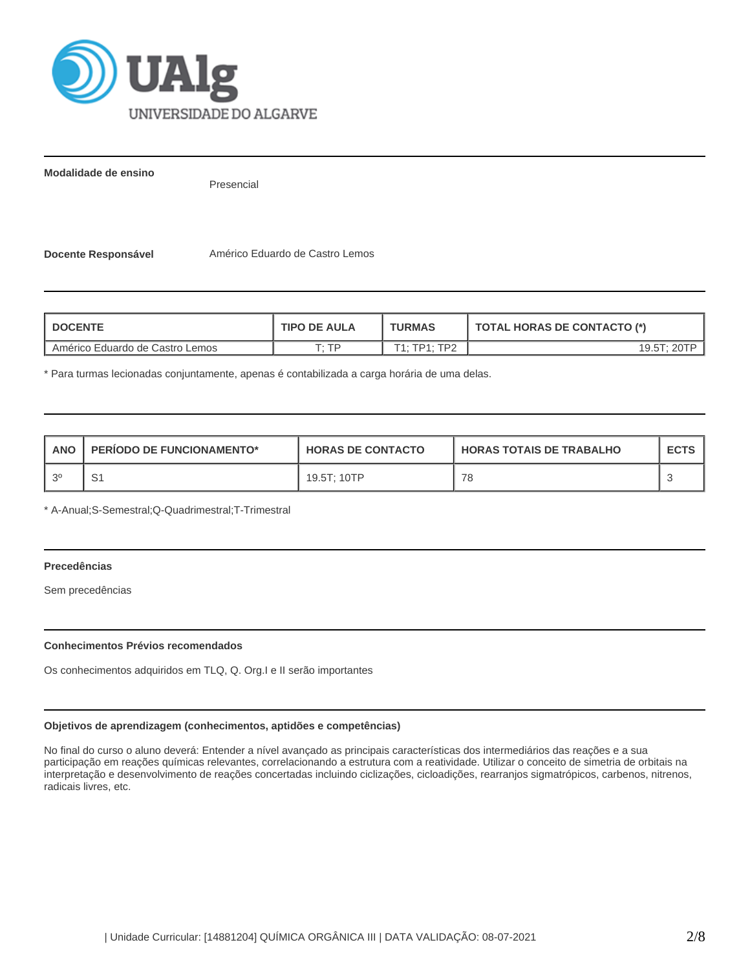

**Modalidade de ensino**

Presencial

**Docente Responsável Manúardo Eduardo de Castro Lemos** 

| <b>DOCENTE</b>                  | <b>TIPO DE AULA</b> | <b>TURMAS</b>            | <b>TOTAL HORAS DE CONTACTO (*)</b> |  |  |
|---------------------------------|---------------------|--------------------------|------------------------------------|--|--|
| Américo Eduardo de Castro Lemos | ם די                | $T1 \cdot TPI \cdot TPI$ | 19.5T <sup>,</sup> 20TP            |  |  |

\* Para turmas lecionadas conjuntamente, apenas é contabilizada a carga horária de uma delas.

| <b>ANO</b> | <b>PERIODO DE FUNCIONAMENTO*</b> | <b>HORAS DE CONTACTO</b> | <b>HORAS TOTAIS DE TRABALHO</b> | <b>ECTS</b> |
|------------|----------------------------------|--------------------------|---------------------------------|-------------|
| 20         | ັ                                | 19.5T: 10TP              | Ö                               |             |

\* A-Anual;S-Semestral;Q-Quadrimestral;T-Trimestral

# **Precedências**

Sem precedências

#### **Conhecimentos Prévios recomendados**

Os conhecimentos adquiridos em TLQ, Q. Org.I e II serão importantes

# **Objetivos de aprendizagem (conhecimentos, aptidões e competências)**

No final do curso o aluno deverá: Entender a nível avançado as principais características dos intermediários das reações e a sua participação em reações químicas relevantes, correlacionando a estrutura com a reatividade. Utilizar o conceito de simetria de orbitais na interpretação e desenvolvimento de reações concertadas incluindo ciclizações, cicloadições, rearranjos sigmatrópicos, carbenos, nitrenos, radicais livres, etc.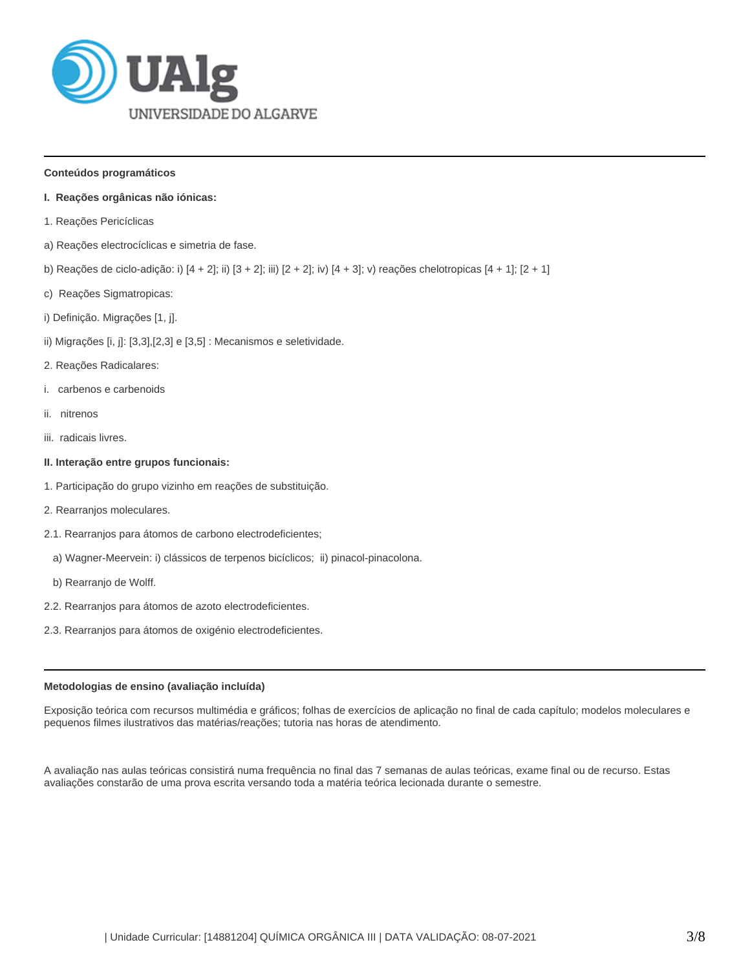

#### **Conteúdos programáticos**

- **I. Reações orgânicas não iónicas:**
- 1. Reações Pericíclicas
- a) Reações electrocíclicas e simetria de fase.
- b) Reações de ciclo-adição: i) [4 + 2]; ii) [3 + 2]; iii) [2 + 2]; iv) [4 + 3]; v) reações chelotropicas [4 + 1]; [2 + 1]
- c) Reações Sigmatropicas:
- i) Definição. Migrações [1, j].
- ii) Migrações [i, j]: [3,3],[2,3] e [3,5] : Mecanismos e seletividade.
- 2. Reações Radicalares:
- i. carbenos e carbenoids
- ii. nitrenos
- iii. radicais livres.

### **II. Interação entre grupos funcionais:**

- 1. Participação do grupo vizinho em reações de substituição.
- 2. Rearranjos moleculares.
- 2.1. Rearranjos para átomos de carbono electrodeficientes;
	- a) Wagner-Meervein: i) clássicos de terpenos bicíclicos; ii) pinacol-pinacolona.
	- b) Rearranjo de Wolff.
- 2.2. Rearranjos para átomos de azoto electrodeficientes.
- 2.3. Rearranjos para átomos de oxigénio electrodeficientes.

#### **Metodologias de ensino (avaliação incluída)**

Exposição teórica com recursos multimédia e gráficos; folhas de exercícios de aplicação no final de cada capítulo; modelos moleculares e pequenos filmes ilustrativos das matérias/reações; tutoria nas horas de atendimento.

A avaliação nas aulas teóricas consistirá numa frequência no final das 7 semanas de aulas teóricas, exame final ou de recurso. Estas avaliações constarão de uma prova escrita versando toda a matéria teórica lecionada durante o semestre.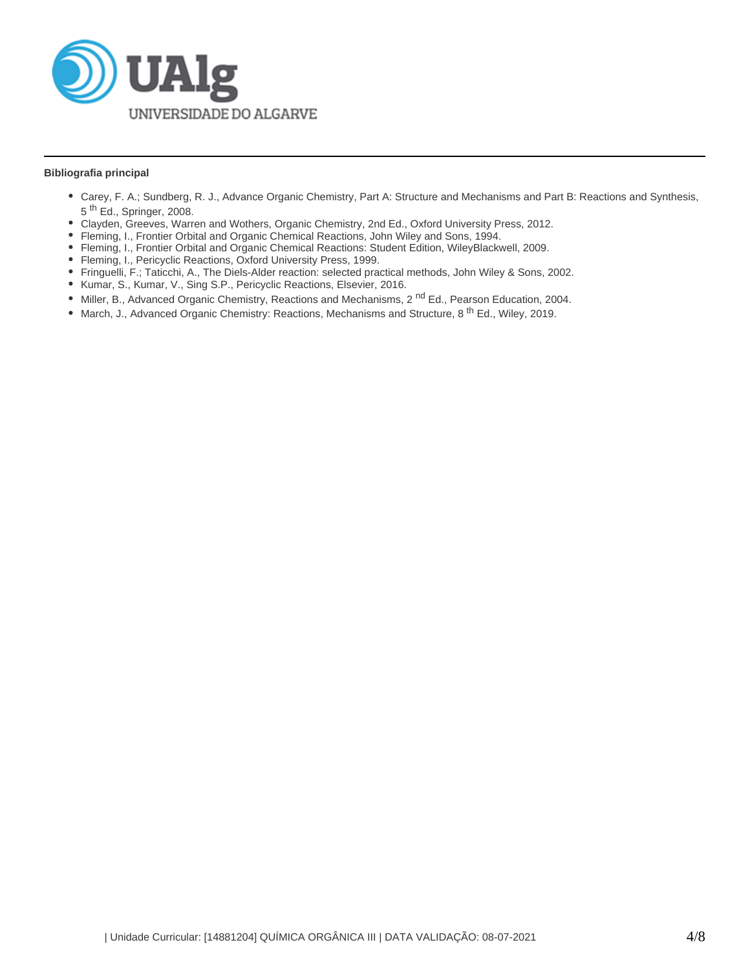

### **Bibliografia principal**

- Carey, F. A.; Sundberg, R. J., Advance Organic Chemistry, Part A: Structure and Mechanisms and Part B: Reactions and Synthesis,  $5<sup>th</sup>$  Ed., Springer, 2008.
- Clayden, Greeves, Warren and Wothers, Organic Chemistry, 2nd Ed., Oxford University Press, 2012.
- Fleming, I., Frontier Orbital and Organic Chemical Reactions, John Wiley and Sons, 1994.
- Fleming, I., Frontier Orbital and Organic Chemical Reactions: Student Edition, WileyBlackwell, 2009.
- Fleming, I., Pericyclic Reactions, Oxford University Press, 1999.
- Fringuelli, F.; Taticchi, A., The Diels-Alder reaction: selected practical methods, John Wiley & Sons, 2002.
- Kumar, S., Kumar, V., Sing S.P., Pericyclic Reactions, Elsevier, 2016.
- Miller, B., Advanced Organic Chemistry, Reactions and Mechanisms, 2<sup>nd</sup> Ed., Pearson Education, 2004.
- March, J., Advanced Organic Chemistry: Reactions, Mechanisms and Structure, 8<sup>th</sup> Ed., Wiley, 2019.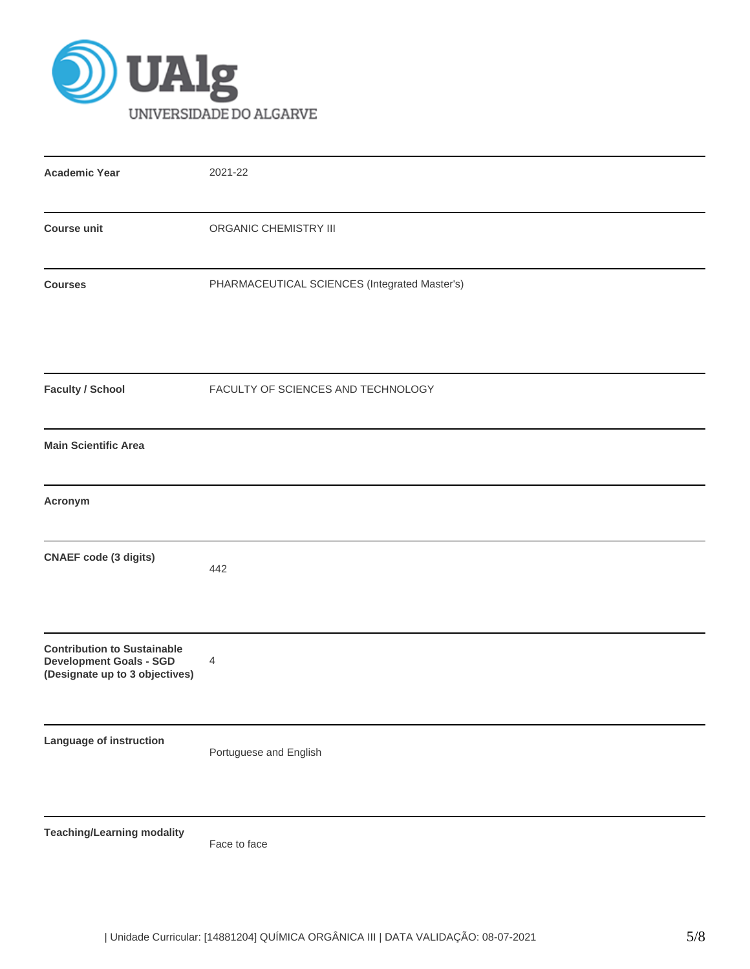

| <b>Academic Year</b>                                                                                   | 2021-22                                       |
|--------------------------------------------------------------------------------------------------------|-----------------------------------------------|
| <b>Course unit</b>                                                                                     | ORGANIC CHEMISTRY III                         |
| <b>Courses</b>                                                                                         | PHARMACEUTICAL SCIENCES (Integrated Master's) |
| <b>Faculty / School</b>                                                                                | FACULTY OF SCIENCES AND TECHNOLOGY            |
| <b>Main Scientific Area</b>                                                                            |                                               |
| Acronym                                                                                                |                                               |
| <b>CNAEF code (3 digits)</b>                                                                           | 442                                           |
| <b>Contribution to Sustainable</b><br><b>Development Goals - SGD</b><br>(Designate up to 3 objectives) | 4                                             |
| Language of instruction                                                                                | Portuguese and English                        |
| <b>Teaching/Learning modality</b>                                                                      | Face to face                                  |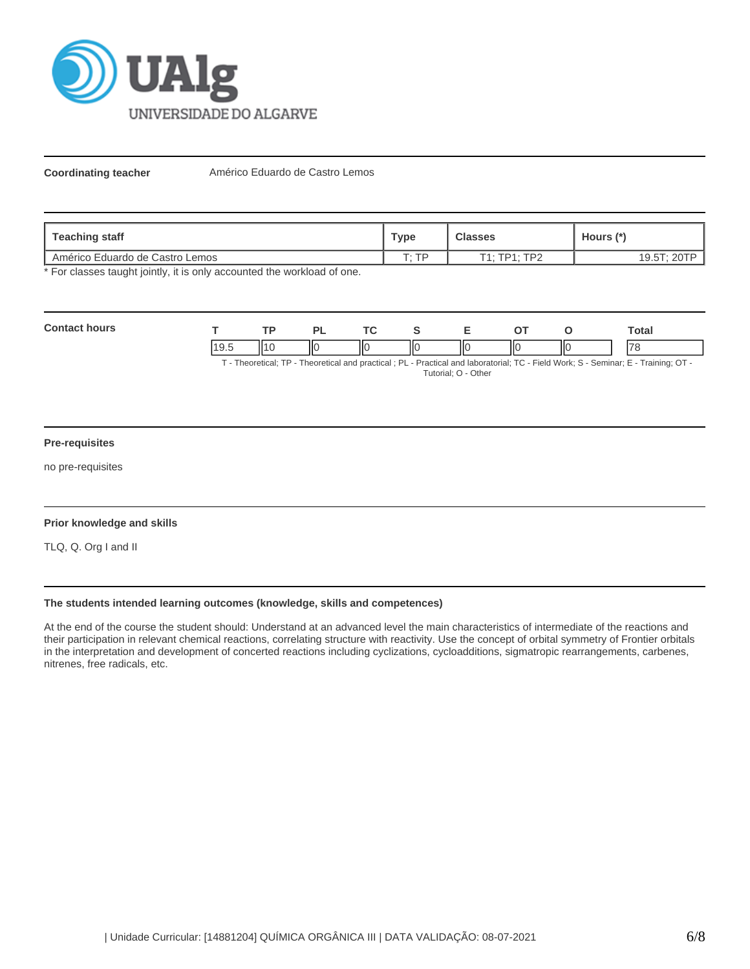

**Coordinating teacher** Américo Eduardo de Castro Lemos

| Teaching staff                    | Type | <b>Classes</b>                                      | Hours (*) |  |
|-----------------------------------|------|-----------------------------------------------------|-----------|--|
| ⊦ Américo Eduardo de Castro Lemos | T·TD | $\cdot$ TD <sup><math>\sim</math></sup><br>54 - TD4 | 19.57     |  |

\* For classes taught jointly, it is only accounted the workload of one.

| Cont |      | тp |    | $\mathbf{r}$ |   |   |    |    | otal⊺ |
|------|------|----|----|--------------|---|---|----|----|-------|
|      | 19.0 |    | IЮ | ШC           | Ш | Ш | ١К | НC |       |

T - Theoretical; TP - Theoretical and practical ; PL - Practical and laboratorial; TC - Field Work; S - Seminar; E - Training; OT - Tutorial; O - Other

#### **Pre-requisites**

no pre-requisites

#### **Prior knowledge and skills**

TLQ, Q. Org I and II

#### **The students intended learning outcomes (knowledge, skills and competences)**

At the end of the course the student should: Understand at an advanced level the main characteristics of intermediate of the reactions and their participation in relevant chemical reactions, correlating structure with reactivity. Use the concept of orbital symmetry of Frontier orbitals in the interpretation and development of concerted reactions including cyclizations, cycloadditions, sigmatropic rearrangements, carbenes, nitrenes, free radicals, etc.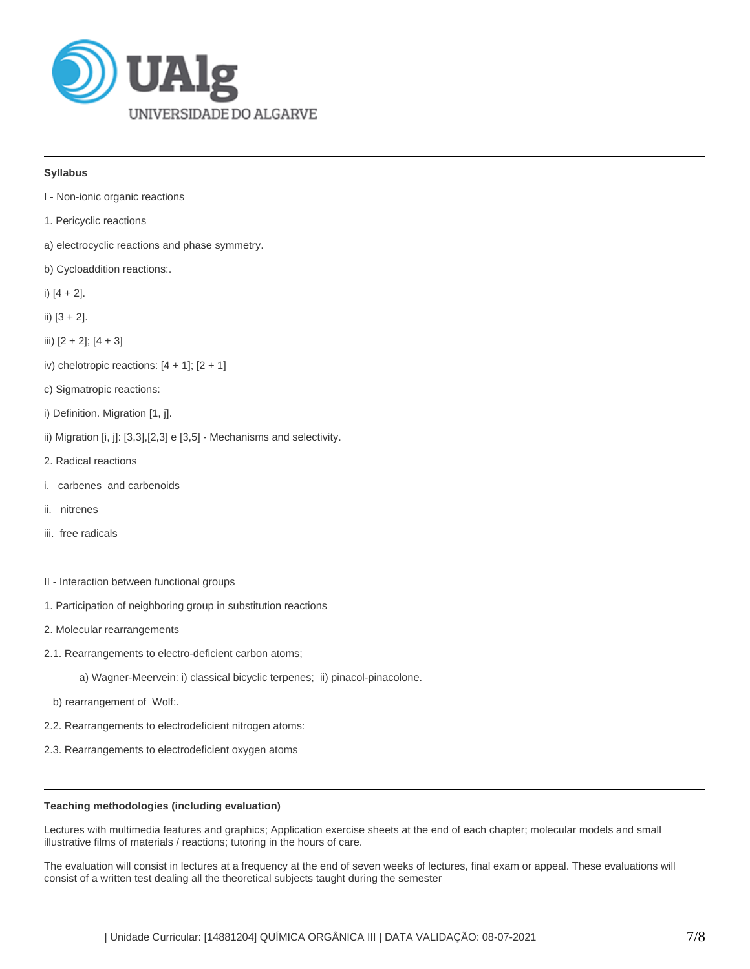

### **Syllabus**

- I Non-ionic organic reactions
- 1. Pericyclic reactions
- a) electrocyclic reactions and phase symmetry.
- b) Cycloaddition reactions:.
- i)  $[4 + 2]$ .
- ii) [3 + 2].

iii)  $[2 + 2]$ ;  $[4 + 3]$ 

- iv) chelotropic reactions:  $[4 + 1]$ ;  $[2 + 1]$
- c) Sigmatropic reactions:
- i) Definition. Migration [1, j].
- ii) Migration [i, j]: [3,3],[2,3] e [3,5] Mechanisms and selectivity.
- 2. Radical reactions
- i. carbenes and carbenoids
- ii. nitrenes
- iii. free radicals
- II Interaction between functional groups
- 1. Participation of neighboring group in substitution reactions
- 2. Molecular rearrangements
- 2.1. Rearrangements to electro-deficient carbon atoms;
	- a) Wagner-Meervein: i) classical bicyclic terpenes; ii) pinacol-pinacolone.
	- b) rearrangement of Wolf:.
- 2.2. Rearrangements to electrodeficient nitrogen atoms:
- 2.3. Rearrangements to electrodeficient oxygen atoms

# **Teaching methodologies (including evaluation)**

Lectures with multimedia features and graphics; Application exercise sheets at the end of each chapter; molecular models and small illustrative films of materials / reactions; tutoring in the hours of care.

The evaluation will consist in lectures at a frequency at the end of seven weeks of lectures, final exam or appeal. These evaluations will consist of a written test dealing all the theoretical subjects taught during the semester